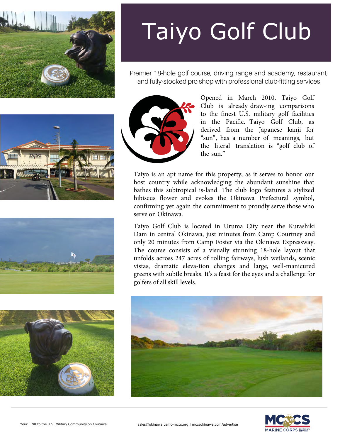

Premier 18-hole golf course, driving range and academy, restaurant, and fully-stocked pro shop with professional club-fitting services









Opened in March 2010, Taiyo Golf Club is already draw-ing comparisons to the finest U.S. military golf facilities in the Pacific. Taiyo Golf Club, as derived from the Japanese kanji for "sun", has a number of meanings, but the literal translation is "golf club of the sun."

Taiyo is an apt name for this property, as it serves to honor our host country while acknowledging the abundant sunshine that bathes this subtropical is-land. The club logo features a stylized hibiscus flower and evokes the Okinawa Prefectural symbol, confirming yet again the commitment to proudly serve those who serve on Okinawa.

Taiyo Golf Club is located in Uruma City near the Kurashiki Dam in central Okinawa, just minutes from Camp Courtney and only 20 minutes from Camp Foster via the Okinawa Expressway. The course consists of a visually stunning 18‐hole layout that unfolds across 247 acres of rolling fairways, lush wetlands, scenic vistas, dramatic eleva-tion changes and large, well‐manicured greens with subtle breaks. It's a feast for the eyes and a challenge for golfers of all skill levels.



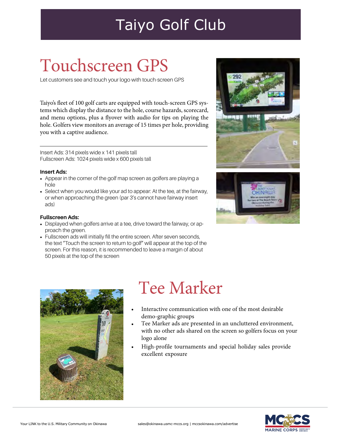# Touchscreen GPS

Let customers see and touch your logo with touch-screen GPS

Taiyo's fleet of 100 golf carts are equipped with touch-screen GPS systems which display the distance to the hole, course hazards, scorecard, and menu options, plus a flyover with audio for tips on playing the hole. Golfers view monitors an average of 15 times per hole, providing you with a captive audience.

Insert Ads: 314 pixels wide x 141 pixels tall Fullscreen Ads: 1024 pixels wide x 600 pixels tall

#### **Insert Ads:**

- Appear in the corner of the golf map screen as golfers are playing a hole
- Select when you would like your ad to appear: At the tee, at the fairway, or when approaching the green (par 3's cannot have fairway insert ads)

#### **Fullscreen Ads:**

- Displayed when golfers arrive at a tee, drive toward the fairway, or approach the green.
- Fullscreen ads will initially fill the entire screen. After seven seconds, the text "Touch the screen to return to golf" will appear at the top of the screen. For this reason, it is recommended to leave a margin of about 50 pixels at the top of the screen







#### Tee Marker

- Interactive communication with one of the most desirable demo-graphic groups
- Tee Marker ads are presented in an uncluttered environment, with no other ads shared on the screen so golfers focus on your logo alone
- High‐profile tournaments and special holiday sales provide excellent exposure

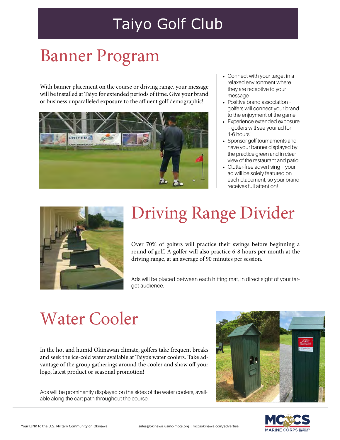## Banner Program

With banner placement on the course or driving range, your message will be installed at Taiyo for extended periods of time. Give your brand or business unparalleled exposure to the affluent golf demographic!



- Connect with your target in a relaxed environment where they are receptive to your message
- Positive brand association golfers will connect your brand to the enjoyment of the game
- Experience extended exposure – golfers will see your ad for 1-6 hours!
- Sponsor golf tournaments and have your banner displayed by the practice green and in clear view of the restaurant and patio
- Clutter-free advertising your ad will be solely featured on each placement, so your brand receives full attention!



# Driving Range Divider

Over 70% of golfers will practice their swings before beginning a round of golf. A golfer will also practice 6‐8 hours per month at the driving range, at an average of 90 minutes per session.

Ads will be placed between each hitting mat, in direct sight of your target audience.

## Water Cooler

In the hot and humid Okinawan climate, golfers take frequent breaks and seek the ice-cold water available at Taiyo's water coolers. Take advantage of the group gatherings around the cooler and show off your logo, latest product or seasonal promotion!

Ads will be prominently displayed on the sides of the water coolers, available along the cart path throughout the course.